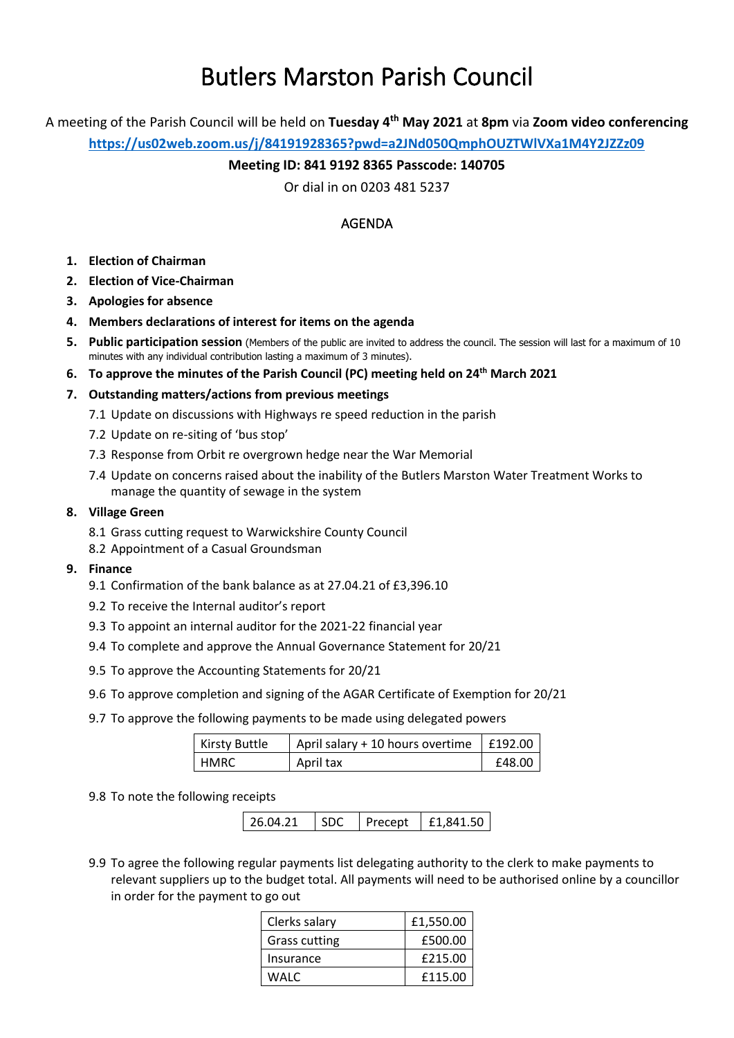# Butlers Marston Parish Council

A meeting of the Parish Council will be held on **Tuesday 4 th May 2021** at **8pm** via **Zoom video conferencing**

**<https://us02web.zoom.us/j/84191928365?pwd=a2JNd050QmphOUZTWlVXa1M4Y2JZZz09>**

## **Meeting ID: 841 9192 8365 Passcode: 140705**

Or dial in on 0203 481 5237

# AGENDA

- **1. Election of Chairman**
- **2. Election of Vice-Chairman**
- **3. Apologies for absence**
- **4. Members declarations of interest for items on the agenda**
- **5. Public participation session** (Members of the public are invited to address the council. The session will last for a maximum of 10 minutes with any individual contribution lasting a maximum of 3 minutes).
- **6. To approve the minutes of the Parish Council (PC) meeting held on 24th March 2021**

#### **7. Outstanding matters/actions from previous meetings**

- 7.1 Update on discussions with Highways re speed reduction in the parish
- 7.2 Update on re-siting of 'bus stop'
- 7.3 Response from Orbit re overgrown hedge near the War Memorial
- 7.4 Update on concerns raised about the inability of the Butlers Marston Water Treatment Works to manage the quantity of sewage in the system

#### **8. Village Green**

- 8.1 Grass cutting request to Warwickshire County Council
- 8.2 Appointment of a Casual Groundsman

#### **9. Finance**

- 9.1 Confirmation of the bank balance as at 27.04.21 of £3,396.10
- 9.2 To receive the Internal auditor's report
- 9.3 To appoint an internal auditor for the 2021-22 financial year
- 9.4 To complete and approve the Annual Governance Statement for 20/21
- 9.5 To approve the Accounting Statements for 20/21
- 9.6 To approve completion and signing of the AGAR Certificate of Exemption for 20/21
- 9.7 To approve the following payments to be made using delegated powers

| <b>Kirsty Buttle</b> | April salary + 10 hours overtime   £192.00 |        |
|----------------------|--------------------------------------------|--------|
| <b>HMRC</b>          | April tax                                  | £48.00 |

#### 9.8 To note the following receipts

26.04.21 | SDC | Precept | £1,841.50

9.9 To agree the following regular payments list delegating authority to the clerk to make payments to relevant suppliers up to the budget total. All payments will need to be authorised online by a councillor in order for the payment to go out

| Clerks salary | £1,550.00 |
|---------------|-----------|
| Grass cutting | £500.00   |
| Insurance     | £215.00   |
| WALC          | £115.00   |